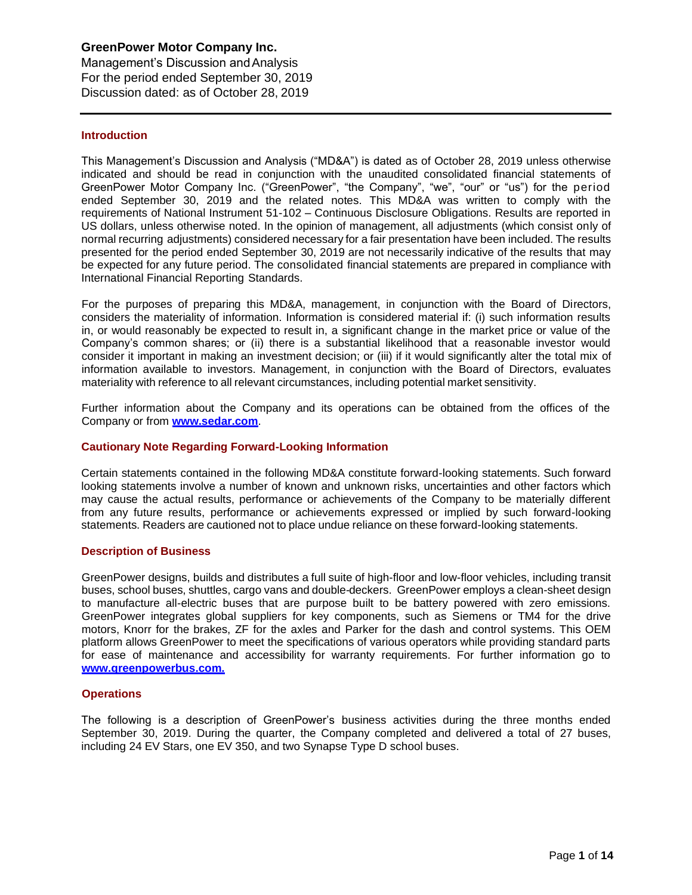Management's Discussion andAnalysis For the period ended September 30, 2019 Discussion dated: as of October 28, 2019

### **Introduction**

This Management's Discussion and Analysis ("MD&A") is dated as of October 28, 2019 unless otherwise indicated and should be read in conjunction with the unaudited consolidated financial statements of GreenPower Motor Company Inc. ("GreenPower", "the Company", "we", "our" or "us") for the period ended September 30, 2019 and the related notes. This MD&A was written to comply with the requirements of National Instrument 51-102 – Continuous Disclosure Obligations. Results are reported in US dollars, unless otherwise noted. In the opinion of management, all adjustments (which consist only of normal recurring adjustments) considered necessary for a fair presentation have been included. The results presented for the period ended September 30, 2019 are not necessarily indicative of the results that may be expected for any future period. The consolidated financial statements are prepared in compliance with International Financial Reporting Standards.

For the purposes of preparing this MD&A, management, in conjunction with the Board of Directors, considers the materiality of information. Information is considered material if: (i) such information results in, or would reasonably be expected to result in, a significant change in the market price or value of the Company's common shares; or (ii) there is a substantial likelihood that a reasonable investor would consider it important in making an investment decision; or (iii) if it would significantly alter the total mix of information available to investors. Management, in conjunction with the Board of Directors, evaluates materiality with reference to all relevant circumstances, including potential market sensitivity.

Further information about the Company and its operations can be obtained from the offices of the Company or from **[www.sedar.com](http://www.sedar.com/)**.

## **Cautionary Note Regarding Forward-Looking Information**

Certain statements contained in the following MD&A constitute forward-looking statements. Such forward looking statements involve a number of known and unknown risks, uncertainties and other factors which may cause the actual results, performance or achievements of the Company to be materially different from any future results, performance or achievements expressed or implied by such forward-looking statements. Readers are cautioned not to place undue reliance on these forward-looking statements.

#### **Description of Business**

GreenPower designs, builds and distributes a full suite of high-floor and low-floor vehicles, including transit buses, school buses, shuttles, cargo vans and double-deckers. GreenPower employs a clean-sheet design to manufacture all-electric buses that are purpose built to be battery powered with zero emissions. GreenPower integrates global suppliers for key components, such as Siemens or TM4 for the drive motors, Knorr for the brakes, ZF for the axles and Parker for the dash and control systems. This OEM platform allows GreenPower to meet the specifications of various operators while providing standard parts for ease of maintenance and accessibility for warranty requirements. For further information go to **[www.greenpowerbus.com.](http://www.greenpowerbus.com/)**

#### **Operations**

The following is a description of GreenPower's business activities during the three months ended September 30, 2019. During the quarter, the Company completed and delivered a total of 27 buses, including 24 EV Stars, one EV 350, and two Synapse Type D school buses.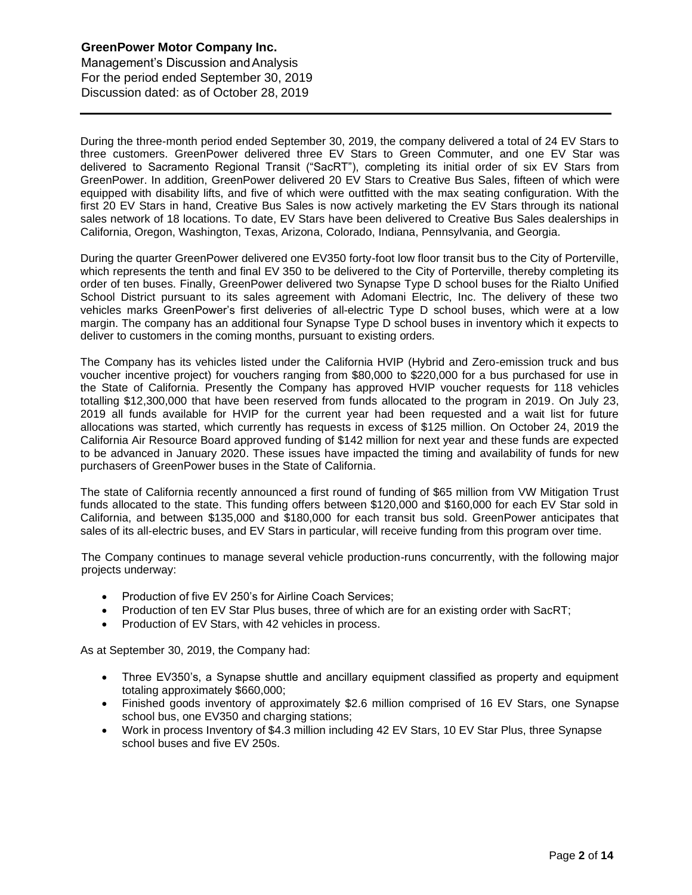Management's Discussion andAnalysis For the period ended September 30, 2019 Discussion dated: as of October 28, 2019

During the three-month period ended September 30, 2019, the company delivered a total of 24 EV Stars to three customers. GreenPower delivered three EV Stars to Green Commuter, and one EV Star was delivered to Sacramento Regional Transit ("SacRT"), completing its initial order of six EV Stars from GreenPower. In addition, GreenPower delivered 20 EV Stars to Creative Bus Sales, fifteen of which were equipped with disability lifts, and five of which were outfitted with the max seating configuration. With the first 20 EV Stars in hand, Creative Bus Sales is now actively marketing the EV Stars through its national sales network of 18 locations. To date, EV Stars have been delivered to Creative Bus Sales dealerships in California, Oregon, Washington, Texas, Arizona, Colorado, Indiana, Pennsylvania, and Georgia.

During the quarter GreenPower delivered one EV350 forty-foot low floor transit bus to the City of Porterville, which represents the tenth and final EV 350 to be delivered to the City of Porterville, thereby completing its order of ten buses. Finally, GreenPower delivered two Synapse Type D school buses for the Rialto Unified School District pursuant to its sales agreement with Adomani Electric, Inc. The delivery of these two vehicles marks GreenPower's first deliveries of all-electric Type D school buses, which were at a low margin. The company has an additional four Synapse Type D school buses in inventory which it expects to deliver to customers in the coming months, pursuant to existing orders.

The Company has its vehicles listed under the California HVIP (Hybrid and Zero-emission truck and bus voucher incentive project) for vouchers ranging from \$80,000 to \$220,000 for a bus purchased for use in the State of California. Presently the Company has approved HVIP voucher requests for 118 vehicles totalling \$12,300,000 that have been reserved from funds allocated to the program in 2019. On July 23, 2019 all funds available for HVIP for the current year had been requested and a wait list for future allocations was started, which currently has requests in excess of \$125 million. On October 24, 2019 the California Air Resource Board approved funding of \$142 million for next year and these funds are expected to be advanced in January 2020. These issues have impacted the timing and availability of funds for new purchasers of GreenPower buses in the State of California.

The state of California recently announced a first round of funding of \$65 million from VW Mitigation Trust funds allocated to the state. This funding offers between \$120,000 and \$160,000 for each EV Star sold in California, and between \$135,000 and \$180,000 for each transit bus sold. GreenPower anticipates that sales of its all-electric buses, and EV Stars in particular, will receive funding from this program over time.

The Company continues to manage several vehicle production-runs concurrently, with the following major projects underway:

- Production of five EV 250's for Airline Coach Services;
- Production of ten EV Star Plus buses, three of which are for an existing order with SacRT;
- Production of EV Stars, with 42 vehicles in process.

As at September 30, 2019, the Company had:

- Three EV350's, a Synapse shuttle and ancillary equipment classified as property and equipment totaling approximately \$660,000;
- Finished goods inventory of approximately \$2.6 million comprised of 16 EV Stars, one Synapse school bus, one EV350 and charging stations;
- Work in process Inventory of \$4.3 million including 42 EV Stars, 10 EV Star Plus, three Synapse school buses and five EV 250s.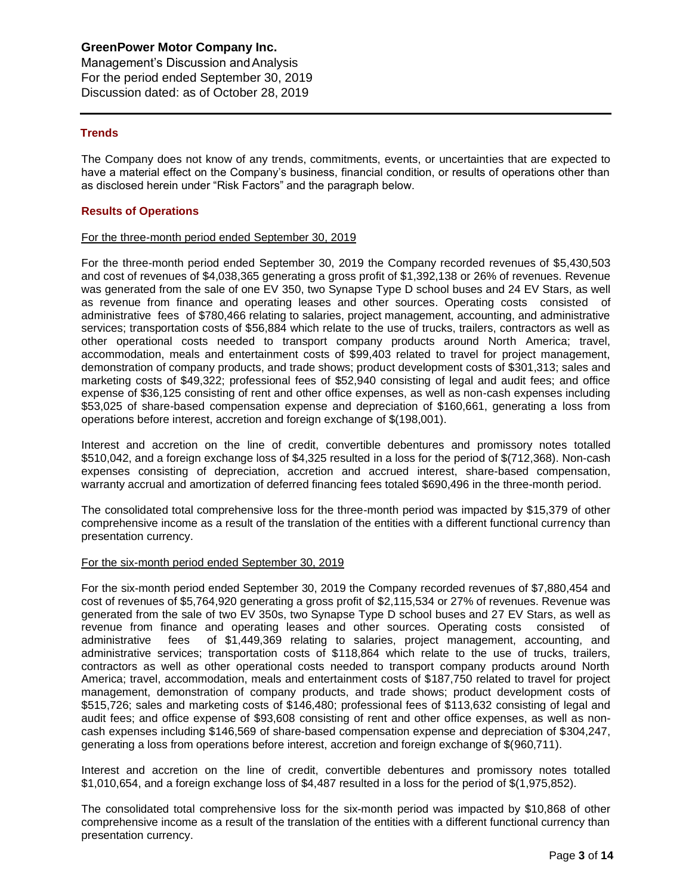Management's Discussion andAnalysis For the period ended September 30, 2019 Discussion dated: as of October 28, 2019

# **Trends**

The Company does not know of any trends, commitments, events, or uncertainties that are expected to have a material effect on the Company's business, financial condition, or results of operations other than as disclosed herein under "Risk Factors" and the paragraph below.

#### **Results of Operations**

#### For the three-month period ended September 30, 2019

For the three-month period ended September 30, 2019 the Company recorded revenues of \$5,430,503 and cost of revenues of \$4,038,365 generating a gross profit of \$1,392,138 or 26% of revenues. Revenue was generated from the sale of one EV 350, two Synapse Type D school buses and 24 EV Stars, as well as revenue from finance and operating leases and other sources. Operating costs consisted of administrative fees of \$780,466 relating to salaries, project management, accounting, and administrative services; transportation costs of \$56,884 which relate to the use of trucks, trailers, contractors as well as other operational costs needed to transport company products around North America; travel, accommodation, meals and entertainment costs of \$99,403 related to travel for project management, demonstration of company products, and trade shows; product development costs of \$301,313; sales and marketing costs of \$49,322; professional fees of \$52,940 consisting of legal and audit fees; and office expense of \$36,125 consisting of rent and other office expenses, as well as non-cash expenses including \$53,025 of share-based compensation expense and depreciation of \$160,661, generating a loss from operations before interest, accretion and foreign exchange of \$(198,001).

Interest and accretion on the line of credit, convertible debentures and promissory notes totalled \$510,042, and a foreign exchange loss of \$4,325 resulted in a loss for the period of \$(712,368). Non-cash expenses consisting of depreciation, accretion and accrued interest, share-based compensation, warranty accrual and amortization of deferred financing fees totaled \$690,496 in the three-month period.

The consolidated total comprehensive loss for the three-month period was impacted by \$15,379 of other comprehensive income as a result of the translation of the entities with a different functional currency than presentation currency.

#### For the six-month period ended September 30, 2019

For the six-month period ended September 30, 2019 the Company recorded revenues of \$7,880,454 and cost of revenues of \$5,764,920 generating a gross profit of \$2,115,534 or 27% of revenues. Revenue was generated from the sale of two EV 350s, two Synapse Type D school buses and 27 EV Stars, as well as revenue from finance and operating leases and other sources. Operating costs consisted of administrative fees of \$1,449,369 relating to salaries, project management, accounting, and fees of \$1,449,369 relating to salaries, project management, accounting, and administrative services; transportation costs of \$118,864 which relate to the use of trucks, trailers, contractors as well as other operational costs needed to transport company products around North America; travel, accommodation, meals and entertainment costs of \$187,750 related to travel for project management, demonstration of company products, and trade shows; product development costs of \$515,726; sales and marketing costs of \$146,480; professional fees of \$113,632 consisting of legal and audit fees; and office expense of \$93,608 consisting of rent and other office expenses, as well as noncash expenses including \$146,569 of share-based compensation expense and depreciation of \$304,247, generating a loss from operations before interest, accretion and foreign exchange of \$(960,711).

Interest and accretion on the line of credit, convertible debentures and promissory notes totalled \$1,010,654, and a foreign exchange loss of \$4,487 resulted in a loss for the period of \$(1,975,852).

The consolidated total comprehensive loss for the six-month period was impacted by \$10,868 of other comprehensive income as a result of the translation of the entities with a different functional currency than presentation currency.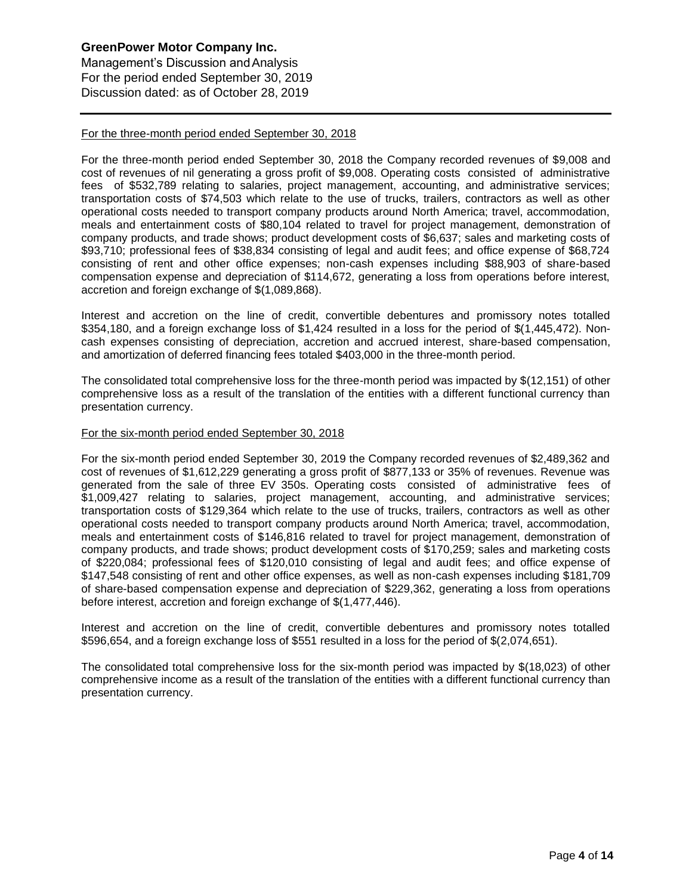Management's Discussion andAnalysis For the period ended September 30, 2019 Discussion dated: as of October 28, 2019

### For the three-month period ended September 30, 2018

For the three-month period ended September 30, 2018 the Company recorded revenues of \$9,008 and cost of revenues of nil generating a gross profit of \$9,008. Operating costs consisted of administrative fees of \$532,789 relating to salaries, project management, accounting, and administrative services; transportation costs of \$74,503 which relate to the use of trucks, trailers, contractors as well as other operational costs needed to transport company products around North America; travel, accommodation, meals and entertainment costs of \$80,104 related to travel for project management, demonstration of company products, and trade shows; product development costs of \$6,637; sales and marketing costs of \$93,710; professional fees of \$38,834 consisting of legal and audit fees; and office expense of \$68,724 consisting of rent and other office expenses; non-cash expenses including \$88,903 of share-based compensation expense and depreciation of \$114,672, generating a loss from operations before interest, accretion and foreign exchange of \$(1,089,868).

Interest and accretion on the line of credit, convertible debentures and promissory notes totalled \$354,180, and a foreign exchange loss of \$1,424 resulted in a loss for the period of \$(1,445,472). Noncash expenses consisting of depreciation, accretion and accrued interest, share-based compensation, and amortization of deferred financing fees totaled \$403,000 in the three-month period.

The consolidated total comprehensive loss for the three-month period was impacted by \$(12,151) of other comprehensive loss as a result of the translation of the entities with a different functional currency than presentation currency.

#### For the six-month period ended September 30, 2018

For the six-month period ended September 30, 2019 the Company recorded revenues of \$2,489,362 and cost of revenues of \$1,612,229 generating a gross profit of \$877,133 or 35% of revenues. Revenue was generated from the sale of three EV 350s. Operating costs consisted of administrative fees of \$1,009,427 relating to salaries, project management, accounting, and administrative services; transportation costs of \$129,364 which relate to the use of trucks, trailers, contractors as well as other operational costs needed to transport company products around North America; travel, accommodation, meals and entertainment costs of \$146,816 related to travel for project management, demonstration of company products, and trade shows; product development costs of \$170,259; sales and marketing costs of \$220,084; professional fees of \$120,010 consisting of legal and audit fees; and office expense of \$147,548 consisting of rent and other office expenses, as well as non-cash expenses including \$181,709 of share-based compensation expense and depreciation of \$229,362, generating a loss from operations before interest, accretion and foreign exchange of \$(1,477,446).

Interest and accretion on the line of credit, convertible debentures and promissory notes totalled \$596,654, and a foreign exchange loss of \$551 resulted in a loss for the period of \$(2,074,651).

The consolidated total comprehensive loss for the six-month period was impacted by \$(18,023) of other comprehensive income as a result of the translation of the entities with a different functional currency than presentation currency.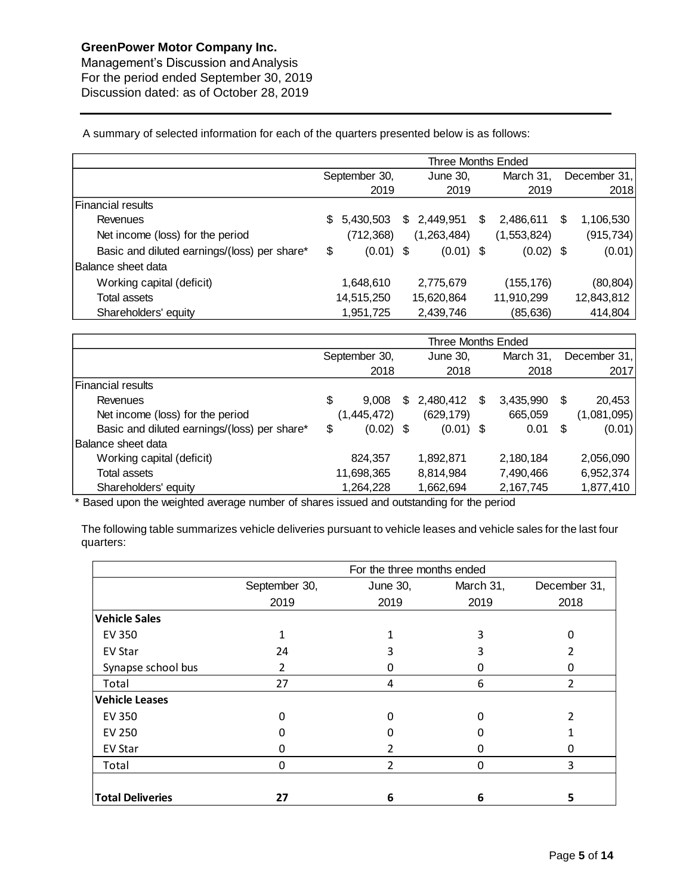Management's Discussion andAnalysis For the period ended September 30, 2019 Discussion dated: as of October 28, 2019

A summary of selected information for each of the quarters presented below is as follows:

|                                              | <b>Three Months Ended</b> |             |  |             |     |             |   |              |  |  |
|----------------------------------------------|---------------------------|-------------|--|-------------|-----|-------------|---|--------------|--|--|
|                                              | September 30,             |             |  | June 30,    |     | March 31,   |   | December 31, |  |  |
|                                              |                           | 2019        |  | 2019        |     | 2019        |   | 2018         |  |  |
| <b>Financial results</b>                     |                           |             |  |             |     |             |   |              |  |  |
| Revenues                                     | \$.                       | 5,430,503   |  | \$2,449,951 | \$. | 2,486,611   | S | 1,106,530    |  |  |
| Net income (loss) for the period             |                           | (712, 368)  |  | (1,263,484) |     | (1,553,824) |   | (915,734)    |  |  |
| Basic and diluted earnings/(loss) per share* | \$                        | $(0.01)$ \$ |  | $(0.01)$ \$ |     | $(0.02)$ \$ |   | (0.01)       |  |  |
| Balance sheet data                           |                           |             |  |             |     |             |   |              |  |  |
| Working capital (deficit)                    |                           | 1,648,610   |  | 2,775,679   |     | (155,176)   |   | (80, 804)    |  |  |
| <b>Total assets</b>                          |                           | 14,515,250  |  | 15,620,864  |     | 11,910,299  |   | 12,843,812   |  |  |
| Shareholders' equity                         |                           | 1,951,725   |  | 2,439,746   |     | (85,636)    |   | 414,804      |  |  |

|                                              | Three Months Ended |             |     |             |   |           |    |              |  |           |
|----------------------------------------------|--------------------|-------------|-----|-------------|---|-----------|----|--------------|--|-----------|
|                                              | September 30,      |             |     | June 30,    |   | March 31, |    | December 31, |  |           |
|                                              |                    | 2018        |     | 2018        |   | 2018      |    | 2017         |  |           |
| Financial results                            |                    |             |     |             |   |           |    |              |  |           |
| Revenues                                     | \$                 | 9.008       | \$. | 2,480,412   | S | 3,435,990 | \$ | 20,453       |  |           |
| Net income (loss) for the period             | (1, 445, 472)      |             |     | (629, 179)  |   | 665,059   |    | (1,081,095)  |  |           |
| Basic and diluted earnings/(loss) per share* | \$                 | $(0.02)$ \$ |     | $(0.01)$ \$ |   | 0.01      | S  | (0.01)       |  |           |
| IBalance sheet data                          |                    |             |     |             |   |           |    |              |  |           |
| Working capital (deficit)                    |                    | 824,357     |     | 1,892,871   |   | 2,180,184 |    | 2,056,090    |  |           |
| <b>Total assets</b>                          | 11,698,365         |             |     | 8,814,984   |   | 7,490,466 |    |              |  | 6,952,374 |
| Shareholders' equity                         |                    | 1,264,228   |     | 1,662,694   |   | 2,167,745 |    | 1,877,410    |  |           |

\* Based upon the weighted average number of shares issued and outstanding for the period

The following table summarizes vehicle deliveries pursuant to vehicle leases and vehicle sales for the last four quarters:

|                         | For the three months ended |               |           |              |  |  |  |  |  |
|-------------------------|----------------------------|---------------|-----------|--------------|--|--|--|--|--|
|                         | September 30,              | June 30,      | March 31, | December 31, |  |  |  |  |  |
|                         | 2019                       | 2019          | 2019      | 2018         |  |  |  |  |  |
| <b>Vehicle Sales</b>    |                            |               |           |              |  |  |  |  |  |
| <b>EV 350</b>           |                            |               | 3         |              |  |  |  |  |  |
| EV Star                 | 24                         |               |           |              |  |  |  |  |  |
| Synapse school bus      | $\mathcal{P}$              | Ω             |           |              |  |  |  |  |  |
| Total                   | 27                         | 4             | 6         | 2            |  |  |  |  |  |
| <b>Vehicle Leases</b>   |                            |               |           |              |  |  |  |  |  |
| <b>EV 350</b>           | n                          | O             |           |              |  |  |  |  |  |
| <b>EV 250</b>           | O                          | n             |           |              |  |  |  |  |  |
| <b>EV Star</b>          |                            |               |           |              |  |  |  |  |  |
| Total                   | 0                          | $\mathfrak z$ | 0         | 3            |  |  |  |  |  |
|                         |                            |               |           |              |  |  |  |  |  |
| <b>Total Deliveries</b> | 27                         | 6             | 6         | 5            |  |  |  |  |  |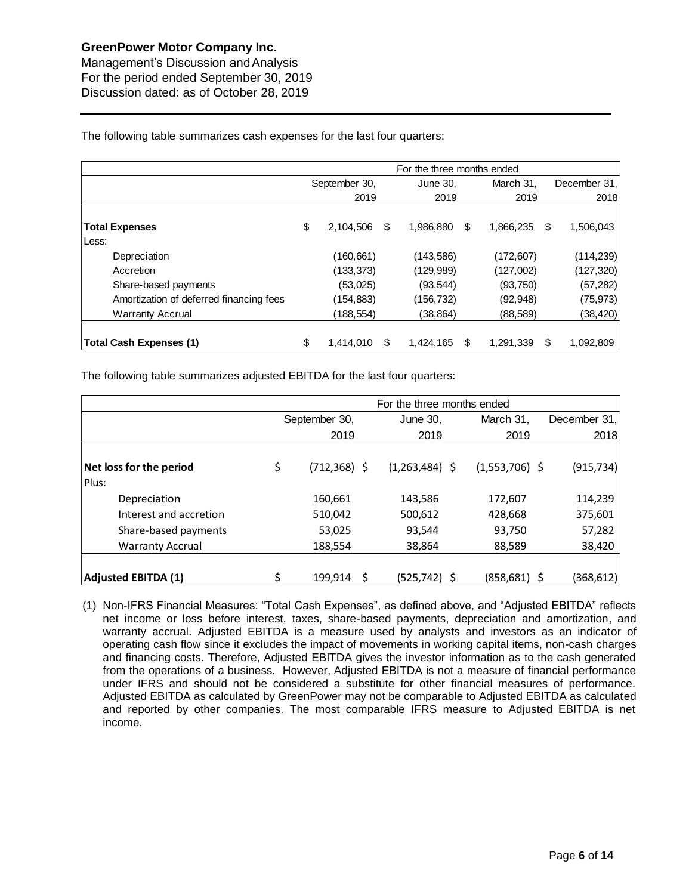Management's Discussion andAnalysis For the period ended September 30, 2019 Discussion dated: as of October 28, 2019

The following table summarizes cash expenses for the last four quarters:

|                                         | For the three months ended |            |    |            |    |           |    |              |  |  |
|-----------------------------------------|----------------------------|------------|----|------------|----|-----------|----|--------------|--|--|
|                                         | September 30,              |            |    | June 30.   |    | March 31, |    | December 31, |  |  |
|                                         |                            | 2019       |    | 2019       |    | 2019      |    | 2018         |  |  |
| <b>Total Expenses</b>                   | \$                         | 2,104,506  | \$ | 1,986,880  | \$ | 1,866,235 | \$ | 1,506,043    |  |  |
| Less:                                   |                            |            |    |            |    |           |    |              |  |  |
| Depreciation                            |                            | (160, 661) |    | (143, 586) |    | (172,607) |    | (114, 239)   |  |  |
| Accretion                               |                            | (133, 373) |    | (129, 989) |    | (127,002) |    | (127,320)    |  |  |
| Share-based payments                    |                            | (53,025)   |    | (93, 544)  |    | (93, 750) |    | (57, 282)    |  |  |
| Amortization of deferred financing fees |                            | (154, 883) |    | (156, 732) |    | (92, 948) |    | (75, 973)    |  |  |
| <b>Warranty Accrual</b>                 |                            | (188,554)  |    | (38, 864)  |    | (88, 589) |    | (38, 420)    |  |  |
|                                         |                            |            |    |            |    |           |    |              |  |  |
| <b>Total Cash Expenses (1)</b>          | \$                         | 1,414,010  | S  | 1,424,165  | S  | 1,291,339 | S  | 1,092,809    |  |  |

The following table summarizes adjusted EBITDA for the last four quarters:

|                                  | For the three months ended |                 |                  |                  |              |  |  |  |  |
|----------------------------------|----------------------------|-----------------|------------------|------------------|--------------|--|--|--|--|
|                                  |                            | September 30,   | June 30,         | March 31.        | December 31, |  |  |  |  |
|                                  |                            | 2019            | 2019             | 2019             | 2018         |  |  |  |  |
| Net loss for the period<br>Plus: | \$                         | $(712, 368)$ \$ | $(1,263,484)$ \$ | $(1,553,706)$ \$ | (915, 734)   |  |  |  |  |
| Depreciation                     |                            | 160,661         | 143,586          | 172,607          | 114,239      |  |  |  |  |
| Interest and accretion           |                            | 510,042         | 500,612          | 428,668          | 375,601      |  |  |  |  |
| Share-based payments             |                            | 53,025          | 93,544           | 93,750           | 57,282       |  |  |  |  |
| <b>Warranty Accrual</b>          |                            | 188,554         | 38,864           | 88,589           | 38,420       |  |  |  |  |
| <b>Adjusted EBITDA (1)</b>       |                            | 199,914         | (525, 742)       | (858, 681)       | (368,612)    |  |  |  |  |

(1) Non-IFRS Financial Measures: "Total Cash Expenses", as defined above, and "Adjusted EBITDA" reflects net income or loss before interest, taxes, share-based payments, depreciation and amortization, and warranty accrual. Adjusted EBITDA is a measure used by analysts and investors as an indicator of operating cash flow since it excludes the impact of movements in working capital items, non-cash charges and financing costs. Therefore, Adjusted EBITDA gives the investor information as to the cash generated from the operations of a business. However, Adjusted EBITDA is not a measure of financial performance under IFRS and should not be considered a substitute for other financial measures of performance. Adjusted EBITDA as calculated by GreenPower may not be comparable to Adjusted EBITDA as calculated and reported by other companies. The most comparable IFRS measure to Adjusted EBITDA is net income.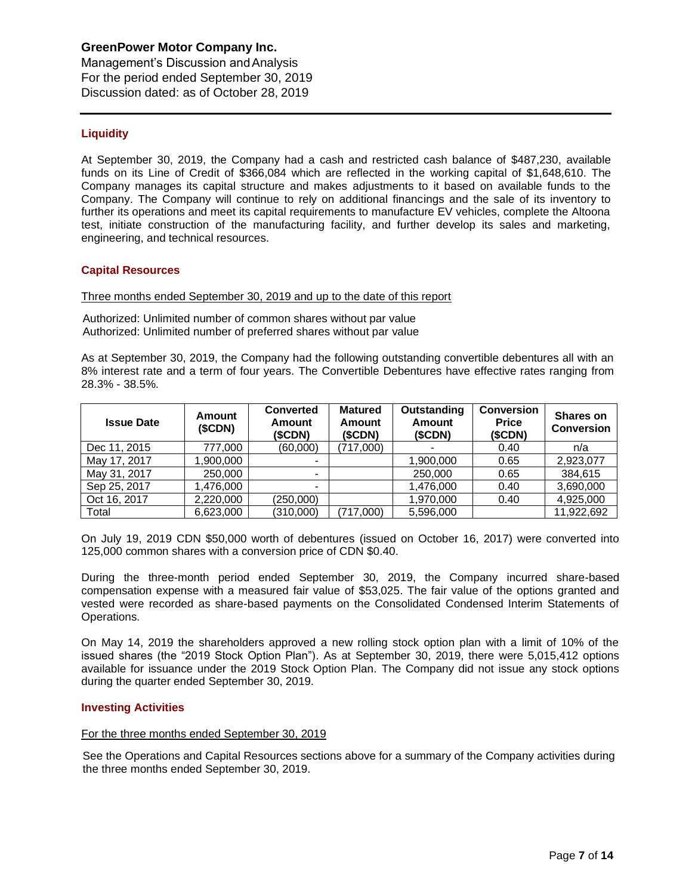Management's Discussion andAnalysis For the period ended September 30, 2019 Discussion dated: as of October 28, 2019

# **Liquidity**

At September 30, 2019, the Company had a cash and restricted cash balance of \$487,230, available funds on its Line of Credit of \$366,084 which are reflected in the working capital of \$1,648,610. The Company manages its capital structure and makes adjustments to it based on available funds to the Company. The Company will continue to rely on additional financings and the sale of its inventory to further its operations and meet its capital requirements to manufacture EV vehicles, complete the Altoona test, initiate construction of the manufacturing facility, and further develop its sales and marketing, engineering, and technical resources.

#### **Capital Resources**

Three months ended September 30, 2019 and up to the date of this report

Authorized: Unlimited number of common shares without par value Authorized: Unlimited number of preferred shares without par value

As at September 30, 2019, the Company had the following outstanding convertible debentures all with an 8% interest rate and a term of four years. The Convertible Debentures have effective rates ranging from 28.3% - 38.5%.

| <b>Issue Date</b> | Amount<br>(SCDN) | <b>Converted</b><br><b>Amount</b><br>(SCDN) | <b>Matured</b><br><b>Amount</b><br>(\$CDN) | Outstanding<br>Amount<br>(\$CDN) | <b>Conversion</b><br><b>Price</b><br>(SCDN) | <b>Shares on</b><br><b>Conversion</b> |
|-------------------|------------------|---------------------------------------------|--------------------------------------------|----------------------------------|---------------------------------------------|---------------------------------------|
| Dec 11, 2015      | 777,000          | (60,000)                                    | (717,000)                                  |                                  | 0.40                                        | n/a                                   |
| May 17, 2017      | 1,900,000        |                                             |                                            | 1,900,000                        | 0.65                                        | 2,923,077                             |
| May 31, 2017      | 250,000          |                                             |                                            | 250,000                          | 0.65                                        | 384,615                               |
| Sep 25, 2017      | 1,476,000        |                                             |                                            | 1,476,000                        | 0.40                                        | 3,690,000                             |
| Oct 16, 2017      | 2,220,000        | (250,000)                                   |                                            | 1,970,000                        | 0.40                                        | 4,925,000                             |
| Total             | 6,623,000        | (310,000)                                   | (717.000)                                  | 5,596,000                        |                                             | 11.922.692                            |

On July 19, 2019 CDN \$50,000 worth of debentures (issued on October 16, 2017) were converted into 125,000 common shares with a conversion price of CDN \$0.40.

During the three-month period ended September 30, 2019, the Company incurred share-based compensation expense with a measured fair value of \$53,025. The fair value of the options granted and vested were recorded as share-based payments on the Consolidated Condensed Interim Statements of Operations.

On May 14, 2019 the shareholders approved a new rolling stock option plan with a limit of 10% of the issued shares (the "2019 Stock Option Plan"). As at September 30, 2019, there were 5,015,412 options available for issuance under the 2019 Stock Option Plan. The Company did not issue any stock options during the quarter ended September 30, 2019.

#### **Investing Activities**

#### For the three months ended September 30, 2019

See the Operations and Capital Resources sections above for a summary of the Company activities during the three months ended September 30, 2019.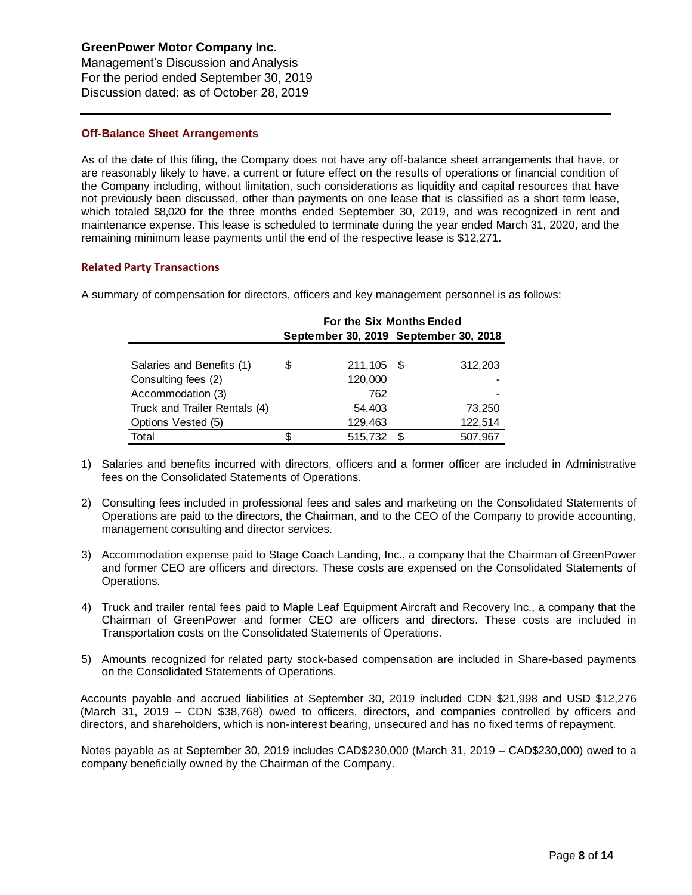Management's Discussion andAnalysis For the period ended September 30, 2019 Discussion dated: as of October 28, 2019

## **Off-Balance Sheet Arrangements**

As of the date of this filing, the Company does not have any off-balance sheet arrangements that have, or are reasonably likely to have, a current or future effect on the results of operations or financial condition of the Company including, without limitation, such considerations as liquidity and capital resources that have not previously been discussed, other than payments on one lease that is classified as a short term lease, which totaled \$8,020 for the three months ended September 30, 2019, and was recognized in rent and maintenance expense. This lease is scheduled to terminate during the year ended March 31, 2020, and the remaining minimum lease payments until the end of the respective lease is \$12,271.

## **Related Party Transactions**

A summary of compensation for directors, officers and key management personnel is as follows:

|                               | For the Six Months Ended |            |                                       |         |  |  |  |  |
|-------------------------------|--------------------------|------------|---------------------------------------|---------|--|--|--|--|
|                               |                          |            | September 30, 2019 September 30, 2018 |         |  |  |  |  |
| Salaries and Benefits (1)     | \$                       | 211,105 \$ |                                       | 312,203 |  |  |  |  |
| Consulting fees (2)           |                          | 120,000    |                                       |         |  |  |  |  |
| Accommodation (3)             |                          | 762        |                                       |         |  |  |  |  |
| Truck and Trailer Rentals (4) |                          | 54,403     |                                       | 73,250  |  |  |  |  |
| Options Vested (5)            |                          | 129,463    |                                       | 122,514 |  |  |  |  |
| Total                         |                          | 515,732    |                                       | 507,967 |  |  |  |  |

- 1) Salaries and benefits incurred with directors, officers and a former officer are included in Administrative fees on the Consolidated Statements of Operations.
- 2) Consulting fees included in professional fees and sales and marketing on the Consolidated Statements of Operations are paid to the directors, the Chairman, and to the CEO of the Company to provide accounting, management consulting and director services.
- 3) Accommodation expense paid to Stage Coach Landing, Inc., a company that the Chairman of GreenPower and former CEO are officers and directors. These costs are expensed on the Consolidated Statements of Operations.
- 4) Truck and trailer rental fees paid to Maple Leaf Equipment Aircraft and Recovery Inc., a company that the Chairman of GreenPower and former CEO are officers and directors. These costs are included in Transportation costs on the Consolidated Statements of Operations.
- 5) Amounts recognized for related party stock-based compensation are included in Share-based payments on the Consolidated Statements of Operations.

Accounts payable and accrued liabilities at September 30, 2019 included CDN \$21,998 and USD \$12,276 (March 31, 2019 – CDN \$38,768) owed to officers, directors, and companies controlled by officers and directors, and shareholders, which is non-interest bearing, unsecured and has no fixed terms of repayment.

Notes payable as at September 30, 2019 includes CAD\$230,000 (March 31, 2019 – CAD\$230,000) owed to a company beneficially owned by the Chairman of the Company.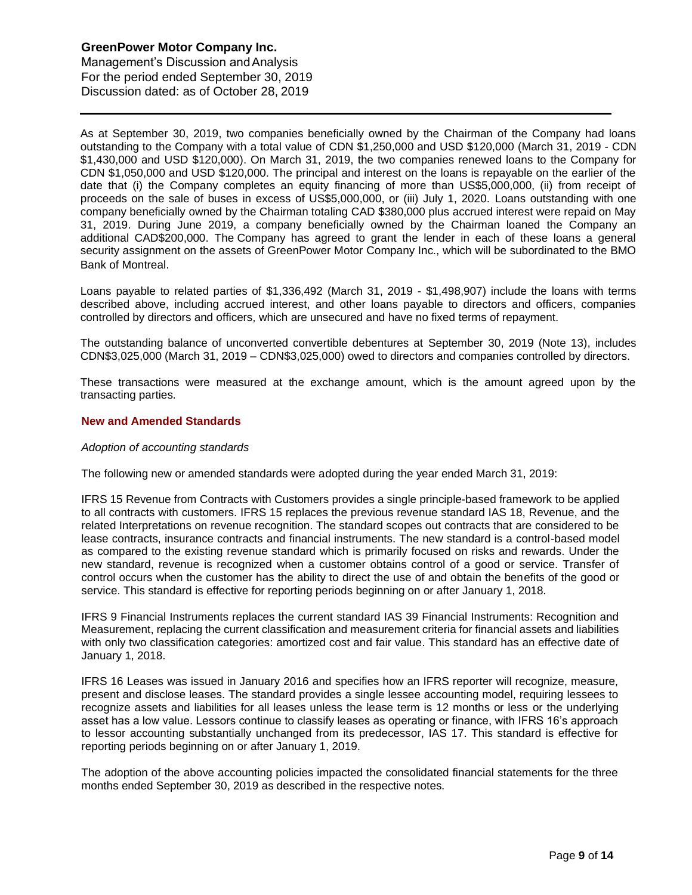Management's Discussion andAnalysis For the period ended September 30, 2019 Discussion dated: as of October 28, 2019

As at September 30, 2019, two companies beneficially owned by the Chairman of the Company had loans outstanding to the Company with a total value of CDN \$1,250,000 and USD \$120,000 (March 31, 2019 - CDN \$1,430,000 and USD \$120,000). On March 31, 2019, the two companies renewed loans to the Company for CDN \$1,050,000 and USD \$120,000. The principal and interest on the loans is repayable on the earlier of the date that (i) the Company completes an equity financing of more than US\$5,000,000, (ii) from receipt of proceeds on the sale of buses in excess of US\$5,000,000, or (iii) July 1, 2020. Loans outstanding with one company beneficially owned by the Chairman totaling CAD \$380,000 plus accrued interest were repaid on May 31, 2019. During June 2019, a company beneficially owned by the Chairman loaned the Company an additional CAD\$200,000. The Company has agreed to grant the lender in each of these loans a general security assignment on the assets of GreenPower Motor Company Inc., which will be subordinated to the BMO Bank of Montreal.

Loans payable to related parties of \$1,336,492 (March 31, 2019 - \$1,498,907) include the loans with terms described above, including accrued interest, and other loans payable to directors and officers, companies controlled by directors and officers, which are unsecured and have no fixed terms of repayment.

The outstanding balance of unconverted convertible debentures at September 30, 2019 (Note 13), includes CDN\$3,025,000 (March 31, 2019 – CDN\$3,025,000) owed to directors and companies controlled by directors.

These transactions were measured at the exchange amount, which is the amount agreed upon by the transacting parties.

## **New and Amended Standards**

#### *Adoption of accounting standards*

The following new or amended standards were adopted during the year ended March 31, 2019:

IFRS 15 Revenue from Contracts with Customers provides a single principle-based framework to be applied to all contracts with customers. IFRS 15 replaces the previous revenue standard IAS 18, Revenue, and the related Interpretations on revenue recognition. The standard scopes out contracts that are considered to be lease contracts, insurance contracts and financial instruments. The new standard is a control-based model as compared to the existing revenue standard which is primarily focused on risks and rewards. Under the new standard, revenue is recognized when a customer obtains control of a good or service. Transfer of control occurs when the customer has the ability to direct the use of and obtain the benefits of the good or service. This standard is effective for reporting periods beginning on or after January 1, 2018.

IFRS 9 Financial Instruments replaces the current standard IAS 39 Financial Instruments: Recognition and Measurement, replacing the current classification and measurement criteria for financial assets and liabilities with only two classification categories: amortized cost and fair value. This standard has an effective date of January 1, 2018.

IFRS 16 Leases was issued in January 2016 and specifies how an IFRS reporter will recognize, measure, present and disclose leases. The standard provides a single lessee accounting model, requiring lessees to recognize assets and liabilities for all leases unless the lease term is 12 months or less or the underlying asset has a low value. Lessors continue to classify leases as operating or finance, with IFRS 16's approach to lessor accounting substantially unchanged from its predecessor, IAS 17. This standard is effective for reporting periods beginning on or after January 1, 2019.

The adoption of the above accounting policies impacted the consolidated financial statements for the three months ended September 30, 2019 as described in the respective notes.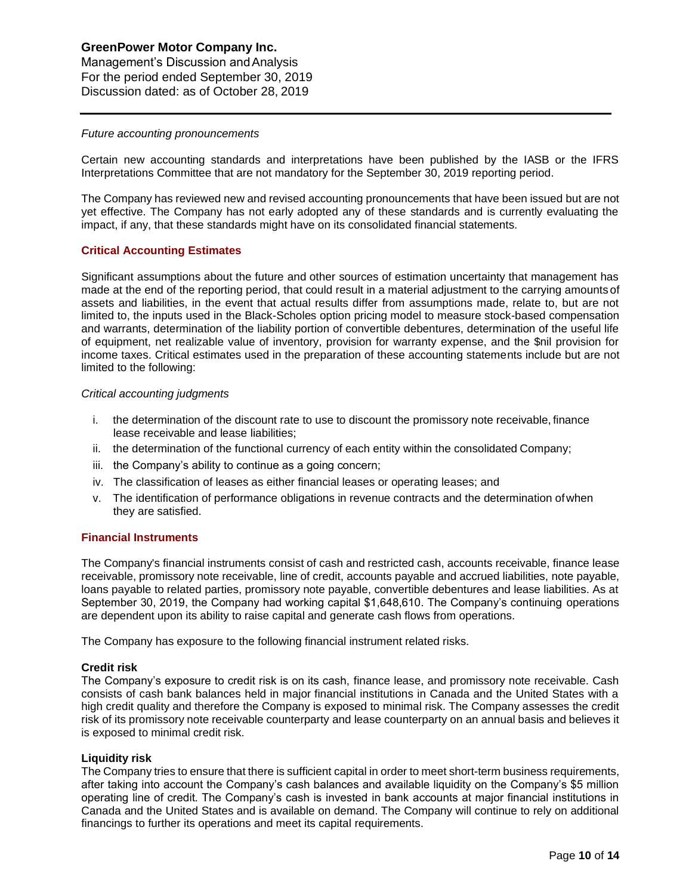Management's Discussion andAnalysis For the period ended September 30, 2019 Discussion dated: as of October 28, 2019

#### *Future accounting pronouncements*

Certain new accounting standards and interpretations have been published by the IASB or the IFRS Interpretations Committee that are not mandatory for the September 30, 2019 reporting period.

The Company has reviewed new and revised accounting pronouncements that have been issued but are not yet effective. The Company has not early adopted any of these standards and is currently evaluating the impact, if any, that these standards might have on its consolidated financial statements.

#### **Critical Accounting Estimates**

Significant assumptions about the future and other sources of estimation uncertainty that management has made at the end of the reporting period, that could result in a material adjustment to the carrying amountsof assets and liabilities, in the event that actual results differ from assumptions made, relate to, but are not limited to, the inputs used in the Black-Scholes option pricing model to measure stock-based compensation and warrants, determination of the liability portion of convertible debentures, determination of the useful life of equipment, net realizable value of inventory, provision for warranty expense, and the \$nil provision for income taxes. Critical estimates used in the preparation of these accounting statements include but are not limited to the following:

#### *Critical accounting judgments*

- i. the determination of the discount rate to use to discount the promissory note receivable,finance lease receivable and lease liabilities;
- ii. the determination of the functional currency of each entity within the consolidated Company;
- iii. the Company's ability to continue as a going concern;
- iv. The classification of leases as either financial leases or operating leases; and
- v. The identification of performance obligations in revenue contracts and the determination ofwhen they are satisfied.

#### **Financial Instruments**

The Company's financial instruments consist of cash and restricted cash, accounts receivable, finance lease receivable, promissory note receivable, line of credit, accounts payable and accrued liabilities, note payable, loans payable to related parties, promissory note payable, convertible debentures and lease liabilities. As at September 30, 2019, the Company had working capital \$1,648,610. The Company's continuing operations are dependent upon its ability to raise capital and generate cash flows from operations.

The Company has exposure to the following financial instrument related risks.

#### **Credit risk**

The Company's exposure to credit risk is on its cash, finance lease, and promissory note receivable. Cash consists of cash bank balances held in major financial institutions in Canada and the United States with a high credit quality and therefore the Company is exposed to minimal risk. The Company assesses the credit risk of its promissory note receivable counterparty and lease counterparty on an annual basis and believes it is exposed to minimal credit risk.

#### **Liquidity risk**

The Company tries to ensure that there is sufficient capital in order to meet short-term business requirements, after taking into account the Company's cash balances and available liquidity on the Company's \$5 million operating line of credit. The Company's cash is invested in bank accounts at major financial institutions in Canada and the United States and is available on demand. The Company will continue to rely on additional financings to further its operations and meet its capital requirements.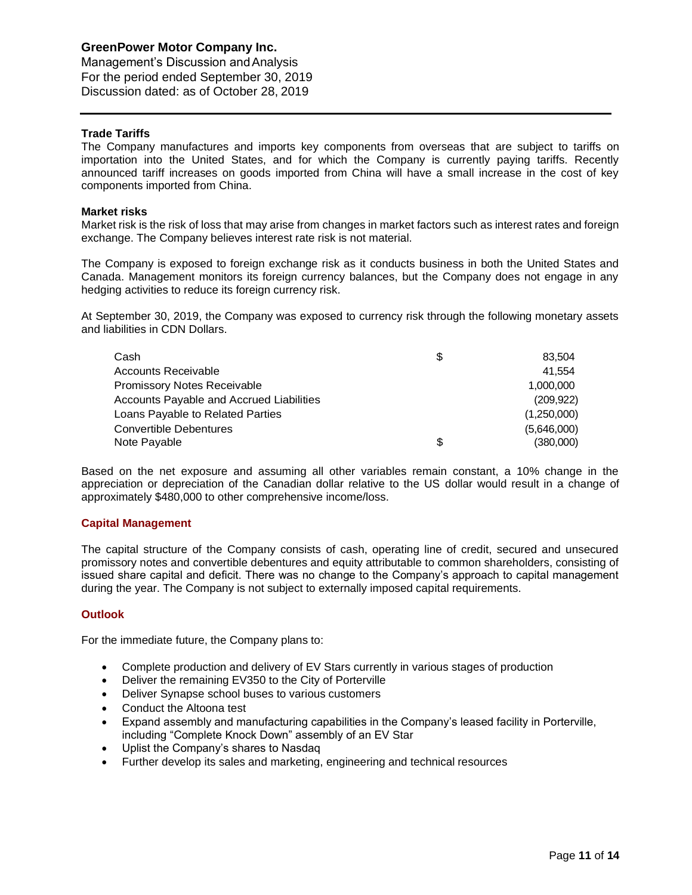Management's Discussion andAnalysis For the period ended September 30, 2019 Discussion dated: as of October 28, 2019

# **Trade Tariffs**

The Company manufactures and imports key components from overseas that are subject to tariffs on importation into the United States, and for which the Company is currently paying tariffs. Recently announced tariff increases on goods imported from China will have a small increase in the cost of key components imported from China.

#### **Market risks**

Market risk is the risk of loss that may arise from changes in market factors such as interest rates and foreign exchange. The Company believes interest rate risk is not material.

The Company is exposed to foreign exchange risk as it conducts business in both the United States and Canada. Management monitors its foreign currency balances, but the Company does not engage in any hedging activities to reduce its foreign currency risk.

At September 30, 2019, the Company was exposed to currency risk through the following monetary assets and liabilities in CDN Dollars.

| Cash                                     | \$<br>83.504    |
|------------------------------------------|-----------------|
| Accounts Receivable                      | 41.554          |
| <b>Promissory Notes Receivable</b>       | 1.000.000       |
| Accounts Payable and Accrued Liabilities | (209, 922)      |
| Loans Payable to Related Parties         | (1,250,000)     |
| Convertible Debentures                   | (5,646,000)     |
| Note Payable                             | \$<br>(380,000) |

Based on the net exposure and assuming all other variables remain constant, a 10% change in the appreciation or depreciation of the Canadian dollar relative to the US dollar would result in a change of approximately \$480,000 to other comprehensive income/loss.

#### **Capital Management**

The capital structure of the Company consists of cash, operating line of credit, secured and unsecured promissory notes and convertible debentures and equity attributable to common shareholders, consisting of issued share capital and deficit. There was no change to the Company's approach to capital management during the year. The Company is not subject to externally imposed capital requirements.

#### **Outlook**

For the immediate future, the Company plans to:

- Complete production and delivery of EV Stars currently in various stages of production
- Deliver the remaining EV350 to the City of Porterville
- Deliver Synapse school buses to various customers
- Conduct the Altoona test
- Expand assembly and manufacturing capabilities in the Company's leased facility in Porterville, including "Complete Knock Down" assembly of an EV Star
- Uplist the Company's shares to Nasdaq
- Further develop its sales and marketing, engineering and technical resources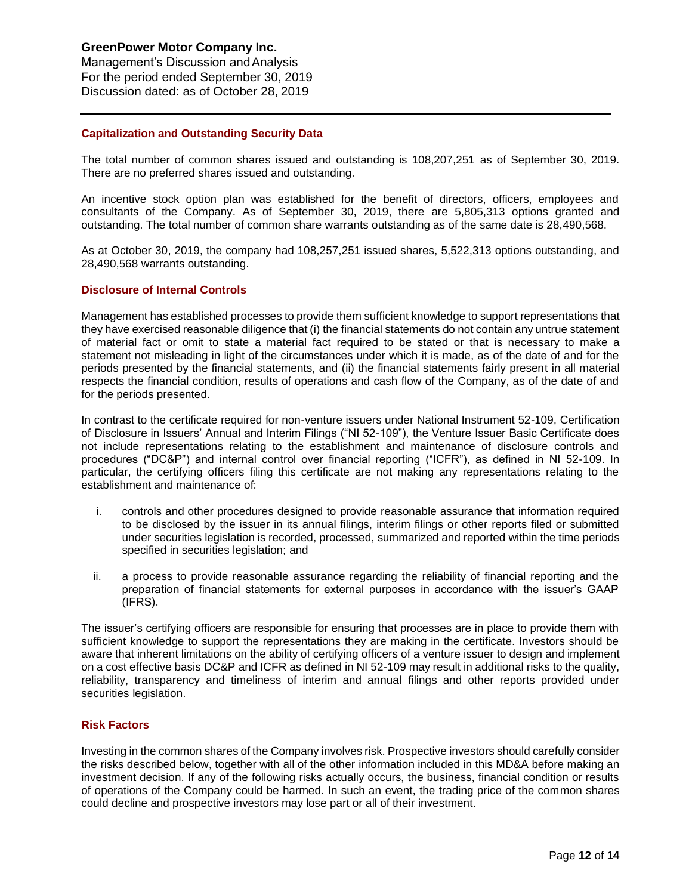Management's Discussion andAnalysis For the period ended September 30, 2019 Discussion dated: as of October 28, 2019

#### **Capitalization and Outstanding Security Data**

The total number of common shares issued and outstanding is 108,207,251 as of September 30, 2019. There are no preferred shares issued and outstanding.

An incentive stock option plan was established for the benefit of directors, officers, employees and consultants of the Company. As of September 30, 2019, there are 5,805,313 options granted and outstanding. The total number of common share warrants outstanding as of the same date is 28,490,568.

As at October 30, 2019, the company had 108,257,251 issued shares, 5,522,313 options outstanding, and 28,490,568 warrants outstanding.

#### **Disclosure of Internal Controls**

Management has established processes to provide them sufficient knowledge to support representations that theyhave exercised reasonable diligence that (i) the financial statements do not contain anyuntrue statement of material fact or omit to state a material fact required to be stated or that is necessary to make a statement not misleading in light of the circumstances under which it is made, as of the date of and for the periods presented by the financial statements, and (ii) the financial statements fairly present in all material respects the financial condition, results of operations and cash flow of the Company, as of the date of and for the periods presented.

In contrast to the certificate required for non-venture issuers under National Instrument 52-109, Certification of Disclosure in Issuers' Annual and Interim Filings ("NI 52-109"), the Venture Issuer Basic Certificate does not include representations relating to the establishment and maintenance of disclosure controls and procedures ("DC&P") and internal control over financial reporting ("ICFR"), as defined in NI 52-109. In particular, the certifying officers filing this certificate are not making any representations relating to the establishment and maintenance of:

- i. controls and other procedures designed to provide reasonable assurance that information required to be disclosed by the issuer in its annual filings, interim filings or other reports filed or submitted under securities legislation is recorded, processed, summarized and reported within the time periods specified in securities legislation; and
- ii. a process to provide reasonable assurance regarding the reliability of financial reporting and the preparation of financial statements for external purposes in accordance with the issuer's GAAP (IFRS).

The issuer's certifying officers are responsible for ensuring that processes are in place to provide them with sufficient knowledge to support the representations they are making in the certificate. Investors should be aware that inherent limitations on the ability of certifying officers of a venture issuer to design and implement on a cost effective basis DC&P and ICFR as defined in NI 52-109 may result in additional risks to the quality, reliability, transparency and timeliness of interim and annual filings and other reports provided under securities legislation.

#### **Risk Factors**

Investing in the common shares of the Company involves risk. Prospective investors should carefully consider the risks described below, together with all of the other information included in this MD&A before making an investment decision. If any of the following risks actually occurs, the business, financial condition or results of operations of the Company could be harmed. In such an event, the trading price of the common shares could decline and prospective investors may lose part or all of their investment.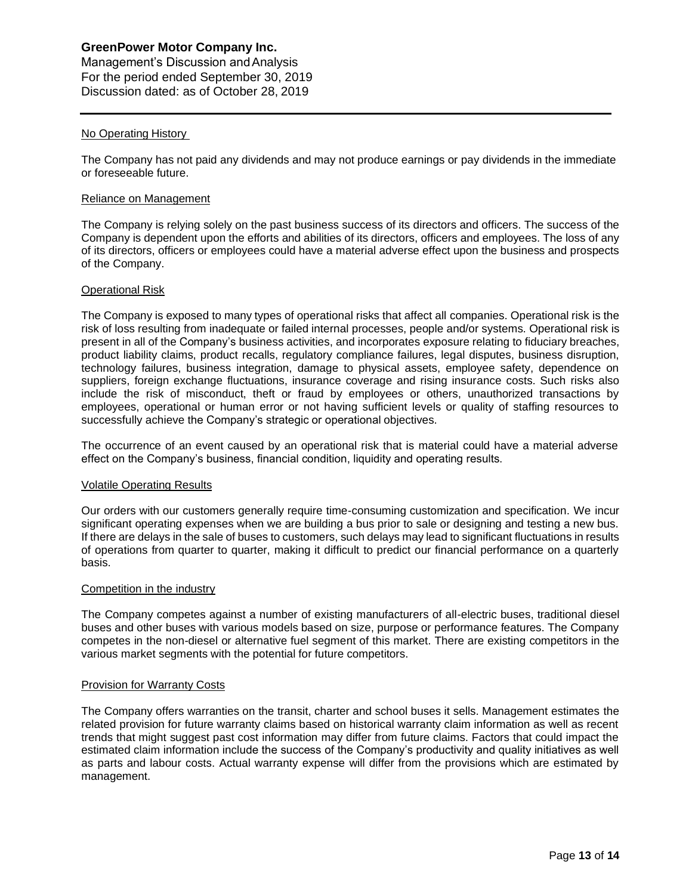Management's Discussion andAnalysis For the period ended September 30, 2019 Discussion dated: as of October 28, 2019

## No Operating History

The Company has not paid any dividends and may not produce earnings or pay dividends in the immediate or foreseeable future.

### Reliance on Management

The Company is relying solely on the past business success of its directors and officers. The success of the Company is dependent upon the efforts and abilities of its directors, officers and employees. The loss of any of its directors, officers or employees could have a material adverse effect upon the business and prospects of the Company.

## Operational Risk

The Company is exposed to many types of operational risks that affect all companies. Operational risk is the risk of loss resulting from inadequate or failed internal processes, people and/or systems. Operational risk is present in all of the Company's business activities, and incorporates exposure relating to fiduciary breaches, product liability claims, product recalls, regulatory compliance failures, legal disputes, business disruption, technology failures, business integration, damage to physical assets, employee safety, dependence on suppliers, foreign exchange fluctuations, insurance coverage and rising insurance costs. Such risks also include the risk of misconduct, theft or fraud by employees or others, unauthorized transactions by employees, operational or human error or not having sufficient levels or quality of staffing resources to successfully achieve the Company's strategic or operational objectives.

The occurrence of an event caused by an operational risk that is material could have a material adverse effect on the Company's business, financial condition, liquidity and operating results.

#### Volatile Operating Results

Our orders with our customers generally require time-consuming customization and specification. We incur significant operating expenses when we are building a bus prior to sale or designing and testing a new bus. If there are delays in the sale of buses to customers, such delays may lead to significant fluctuations in results of operations from quarter to quarter, making it difficult to predict our financial performance on a quarterly basis.

#### Competition in the industry

The Company competes against a number of existing manufacturers of all-electric buses, traditional diesel buses and other buses with various models based on size, purpose or performance features. The Company competes in the non-diesel or alternative fuel segment of this market. There are existing competitors in the various market segments with the potential for future competitors.

#### Provision for Warranty Costs

The Company offers warranties on the transit, charter and school buses it sells. Management estimates the related provision for future warranty claims based on historical warranty claim information as well as recent trends that might suggest past cost information may differ from future claims. Factors that could impact the estimated claim information include the success of the Company's productivity and quality initiatives as well as parts and labour costs. Actual warranty expense will differ from the provisions which are estimated by management.